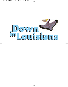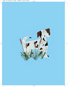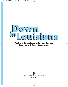

**Traditional Song Adapted by Johnette Downing Illustrated by Deborah Ousley Kadair**